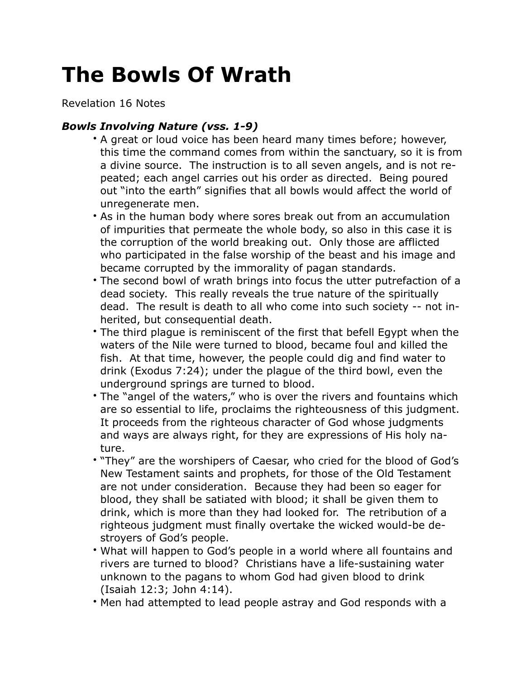## **The Bowls Of Wrath**

Revelation 16 Notes

## *Bowls Involving Nature (vss. 1-9)*

- A great or loud voice has been heard many times before; however, this time the command comes from within the sanctuary, so it is from a divine source. The instruction is to all seven angels, and is not repeated; each angel carries out his order as directed. Being poured out "into the earth" signifies that all bowls would affect the world of unregenerate men.
- As in the human body where sores break out from an accumulation of impurities that permeate the whole body, so also in this case it is the corruption of the world breaking out. Only those are afflicted who participated in the false worship of the beast and his image and became corrupted by the immorality of pagan standards.
- The second bowl of wrath brings into focus the utter putrefaction of a dead society. This really reveals the true nature of the spiritually dead. The result is death to all who come into such society -- not inherited, but consequential death.
- The third plague is reminiscent of the first that befell Egypt when the waters of the Nile were turned to blood, became foul and killed the fish. At that time, however, the people could dig and find water to drink (Exodus 7:24); under the plague of the third bowl, even the underground springs are turned to blood.
- The "angel of the waters," who is over the rivers and fountains which are so essential to life, proclaims the righteousness of this judgment. It proceeds from the righteous character of God whose judgments and ways are always right, for they are expressions of His holy nature.
- "They" are the worshipers of Caesar, who cried for the blood of God's New Testament saints and prophets, for those of the Old Testament are not under consideration. Because they had been so eager for blood, they shall be satiated with blood; it shall be given them to drink, which is more than they had looked for. The retribution of a righteous judgment must finally overtake the wicked would-be destroyers of God's people.
- What will happen to God's people in a world where all fountains and rivers are turned to blood? Christians have a life-sustaining water unknown to the pagans to whom God had given blood to drink (Isaiah 12:3; John 4:14).
- Men had attempted to lead people astray and God responds with a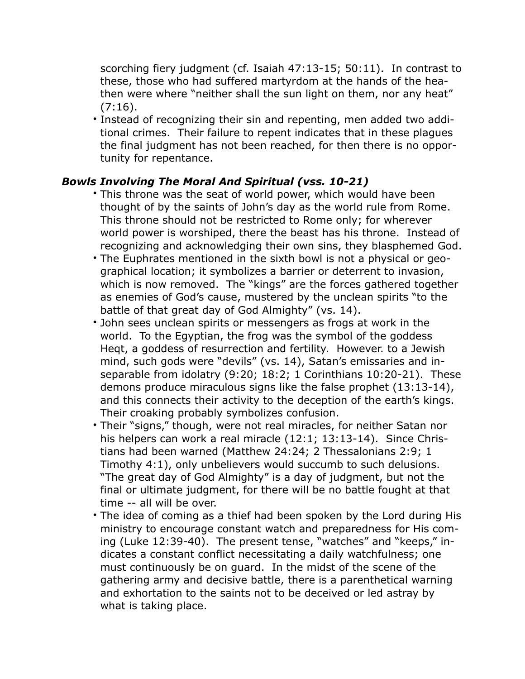scorching fiery judgment (cf. Isaiah 47:13-15; 50:11). In contrast to these, those who had suffered martyrdom at the hands of the heathen were where "neither shall the sun light on them, nor any heat"  $(7:16).$ 

• Instead of recognizing their sin and repenting, men added two additional crimes. Their failure to repent indicates that in these plagues the final judgment has not been reached, for then there is no opportunity for repentance.

## *Bowls Involving The Moral And Spiritual (vss. 10-21)*

- This throne was the seat of world power, which would have been thought of by the saints of John's day as the world rule from Rome. This throne should not be restricted to Rome only; for wherever world power is worshiped, there the beast has his throne. Instead of recognizing and acknowledging their own sins, they blasphemed God.
- The Euphrates mentioned in the sixth bowl is not a physical or geographical location; it symbolizes a barrier or deterrent to invasion, which is now removed. The "kings" are the forces gathered together as enemies of God's cause, mustered by the unclean spirits "to the battle of that great day of God Almighty" (vs. 14).
- John sees unclean spirits or messengers as frogs at work in the world. To the Egyptian, the frog was the symbol of the goddess Heqt, a goddess of resurrection and fertility. However. to a Jewish mind, such gods were "devils" (vs. 14), Satan's emissaries and inseparable from idolatry (9:20; 18:2; 1 Corinthians 10:20-21). These demons produce miraculous signs like the false prophet (13:13-14), and this connects their activity to the deception of the earth's kings. Their croaking probably symbolizes confusion.
- Their "signs," though, were not real miracles, for neither Satan nor his helpers can work a real miracle (12:1; 13:13-14). Since Christians had been warned (Matthew 24:24; 2 Thessalonians 2:9; 1 Timothy 4:1), only unbelievers would succumb to such delusions. "The great day of God Almighty" is a day of judgment, but not the final or ultimate judgment, for there will be no battle fought at that time -- all will be over.
- The idea of coming as a thief had been spoken by the Lord during His ministry to encourage constant watch and preparedness for His coming (Luke 12:39-40). The present tense, "watches" and "keeps," indicates a constant conflict necessitating a daily watchfulness; one must continuously be on guard. In the midst of the scene of the gathering army and decisive battle, there is a parenthetical warning and exhortation to the saints not to be deceived or led astray by what is taking place.